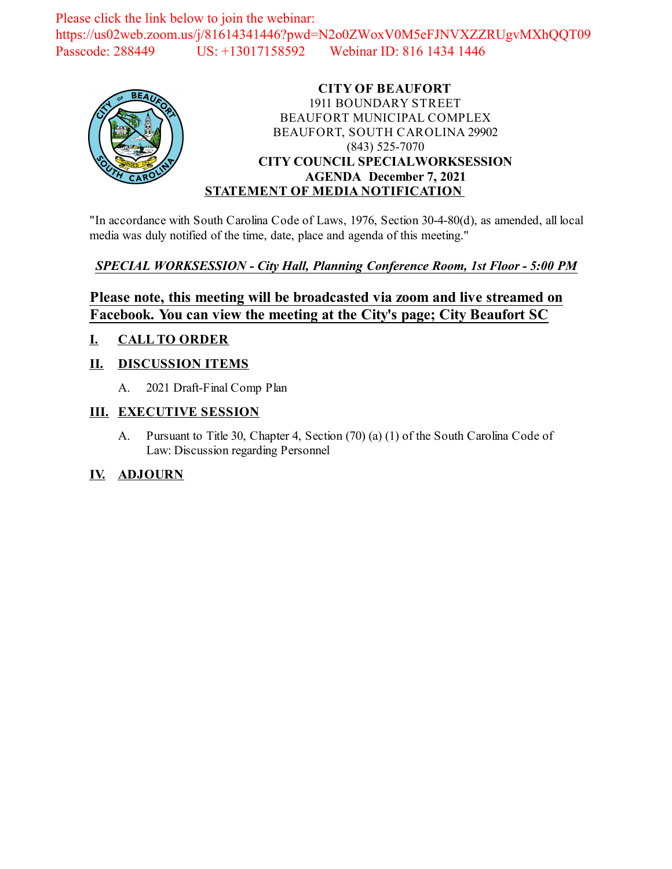Please click the link below to join the webinar: https://us02web.zoom.us/j/81614341446?pwd=N2o0ZWoxV0M5eFJNVXZZRUgvMXhQQT09 Passcode: 288449 US: +13017158592 Webinar ID: 816 1434 1446



### **CITY OF BEAUFORT** 1911 BOUNDARY STREET BEAUFORT MUNICIPAL COMPLEX BEAUFORT, SOUTH CAROLINA 29902 (843) 525-7070 **CITY COUNCIL SPECIALWORKSESSION AGENDA December 7, 2021 STATEMENT OF MEDIA NOTIFICATION**

"In accordance with South Carolina Code of Laws, 1976, Section 30-4-80(d), as amended, all local media was duly notified of the time, date, place and agenda of this meeting."

### *SPECIAL WORKSESSION - City Hall, Planning Conference Room, 1st Floor - 5:00 PM*

## **Please note, this meeting will be broadcasted via zoom and live streamed on Facebook. You can view the meeting at the City's page; City Beaufort SC**

### **I. CALL TO ORDER**

### **II. DISCUSSION ITEMS**

A. 2021 Draft-Final Comp Plan

### **III. EXECUTIVE SESSION**

A. Pursuant to Title 30, Chapter 4, Section (70) (a) (1) of the South Carolina Code of Law: Discussion regarding Personnel

### **IV. ADJOURN**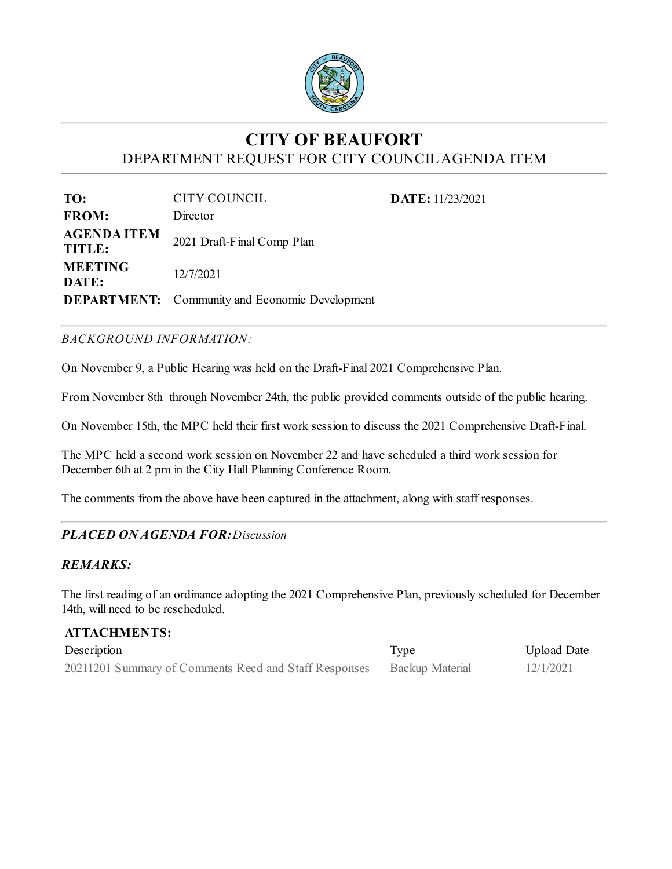

# **CITY OF BEAUFORT** DEPARTMENT REQUEST FOR CITY COUNCILAGENDA ITEM

**DATE:** 11/23/2021

| TO:                          | CITY COUNCIL                                          |
|------------------------------|-------------------------------------------------------|
| <b>FROM:</b>                 | Director                                              |
| <b>AGENDA ITEM</b><br>TITLE: | 2021 Draft-Final Comp Plan                            |
| <b>MEETING</b><br>DATE:      | 12/7/2021                                             |
|                              | <b>DEPARTMENT:</b> Community and Economic Development |

### *BACKGROUND INFORMATION:*

On November 9, a Public Hearing was held on the Draft-Final 2021 Comprehensive Plan.

From November 8th through November 24th, the public provided comments outside of the public hearing.

On November 15th, the MPC held their first work session to discuss the 2021 Comprehensive Draft-Final.

The MPC held a second work session on November 22 and have scheduled a third work session for December 6th at 2 pm in the City Hall Planning Conference Room.

The comments from the above have been captured in the attachment, along with staff responses.

### *PLACED ON AGENDA FOR:Discussion*

### *REMARKS:*

The first reading of an ordinance adopting the 2021 Comprehensive Plan, previously scheduled for December 14th, will need to be rescheduled.

| <b>ATTACHMENTS:</b>                                   |                        |             |  |
|-------------------------------------------------------|------------------------|-------------|--|
| Description                                           | Type                   | Upload Date |  |
| 20211201 Summary of Comments Recd and Staff Responses | <b>Backup Material</b> | 12/1/2021   |  |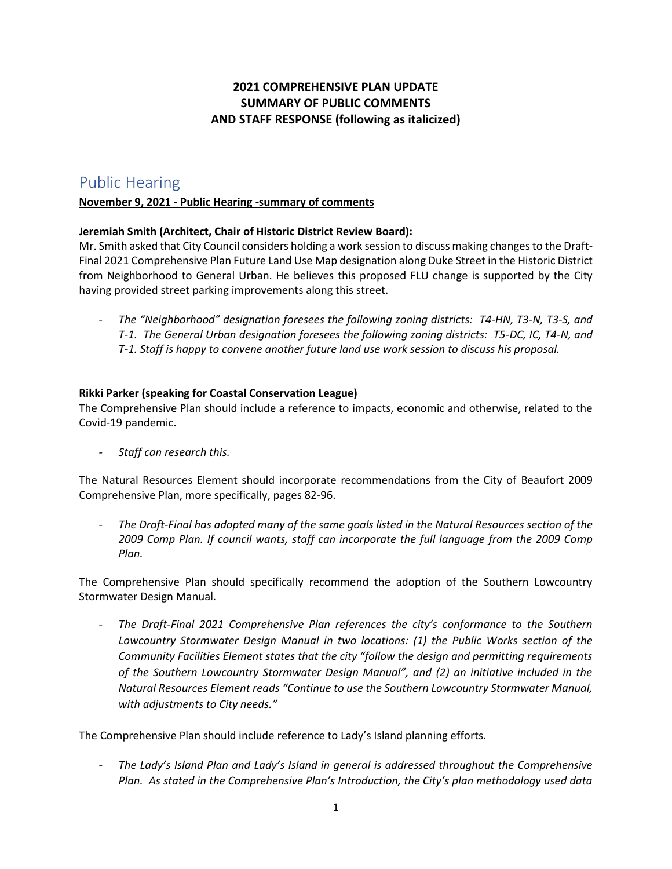### **2021 COMPREHENSIVE PLAN UPDATE SUMMARY OF PUBLIC COMMENTS AND STAFF RESPONSE (following as italicized)**

## Public Hearing

### **November 9, 2021 - Public Hearing -summary of comments**

### **Jeremiah Smith (Architect, Chair of Historic District Review Board):**

Mr. Smith asked that City Council considers holding a work session to discuss making changes to the Draft-Final 2021 Comprehensive Plan Future Land Use Map designation along Duke Street in the Historic District from Neighborhood to General Urban. He believes this proposed FLU change is supported by the City having provided street parking improvements along this street.

*- The "Neighborhood" designation foresees the following zoning districts: T4-HN, T3-N, T3-S, and T-1. The General Urban designation foresees the following zoning districts: T5-DC, IC, T4-N, and T-1. Staff is happy to convene another future land use work session to discuss his proposal.*

### **Rikki Parker (speaking for Coastal Conservation League)**

The Comprehensive Plan should include a reference to impacts, economic and otherwise, related to the Covid-19 pandemic.

*- Staff can research this.*

The Natural Resources Element should incorporate recommendations from the City of Beaufort 2009 Comprehensive Plan, more specifically, pages 82-96.

*- The Draft-Final has adopted many of the same goals listed in the Natural Resources section of the 2009 Comp Plan. If council wants, staff can incorporate the full language from the 2009 Comp Plan.* 

The Comprehensive Plan should specifically recommend the adoption of the Southern Lowcountry Stormwater Design Manual.

*- The Draft-Final 2021 Comprehensive Plan references the city's conformance to the Southern Lowcountry Stormwater Design Manual in two locations: (1) the Public Works section of the Community Facilities Element states that the city "follow the design and permitting requirements of the Southern Lowcountry Stormwater Design Manual", and (2) an initiative included in the Natural Resources Element reads "Continue to use the Southern Lowcountry Stormwater Manual, with adjustments to City needs."*

The Comprehensive Plan should include reference to Lady's Island planning efforts.

*- The Lady's Island Plan and Lady's Island in general is addressed throughout the Comprehensive Plan. As stated in the Comprehensive Plan's Introduction, the City's plan methodology used data*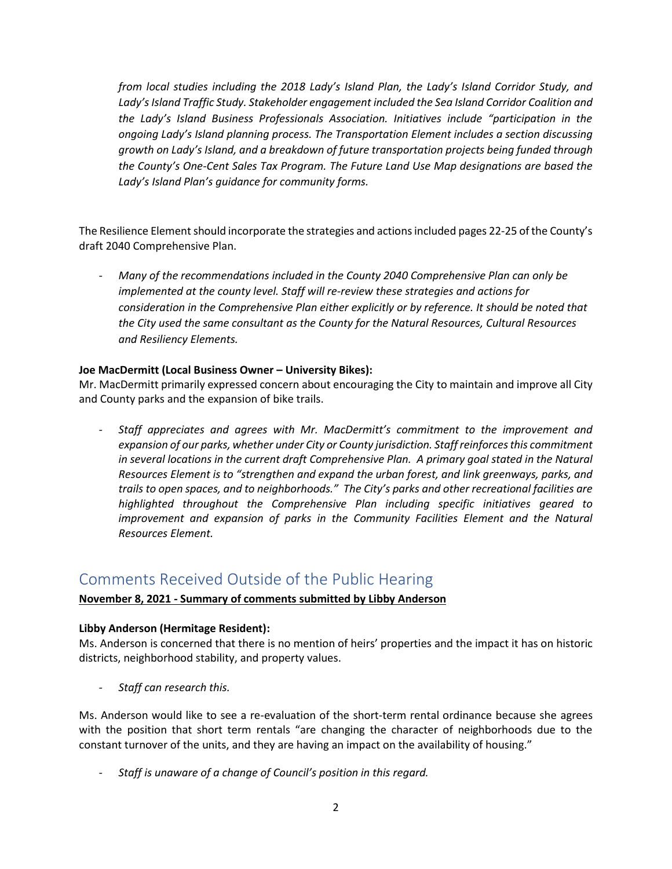*from local studies including the 2018 Lady's Island Plan, the Lady's Island Corridor Study, and Lady's Island Traffic Study. Stakeholder engagement included the Sea Island Corridor Coalition and the Lady's Island Business Professionals Association. Initiatives include "participation in the ongoing Lady's Island planning process. The Transportation Element includes a section discussing growth on Lady's Island, and a breakdown of future transportation projects being funded through the County's One-Cent Sales Tax Program. The Future Land Use Map designations are based the Lady's Island Plan's guidance for community forms.*

The Resilience Element should incorporate the strategies and actions included pages 22-25 of the County's draft 2040 Comprehensive Plan.

*- Many of the recommendations included in the County 2040 Comprehensive Plan can only be implemented at the county level. Staff will re-review these strategies and actions for consideration in the Comprehensive Plan either explicitly or by reference. It should be noted that the City used the same consultant as the County for the Natural Resources, Cultural Resources and Resiliency Elements.*

### **Joe MacDermitt (Local Business Owner – University Bikes):**

Mr. MacDermitt primarily expressed concern about encouraging the City to maintain and improve all City and County parks and the expansion of bike trails.

*- Staff appreciates and agrees with Mr. MacDermitt's commitment to the improvement and expansion of our parks, whether under City or County jurisdiction. Staff reinforces this commitment in several locations in the current draft Comprehensive Plan. A primary goal stated in the Natural Resources Element is to "strengthen and expand the urban forest, and link greenways, parks, and trails to open spaces, and to neighborhoods." The City's parks and other recreational facilities are highlighted throughout the Comprehensive Plan including specific initiatives geared to improvement and expansion of parks in the Community Facilities Element and the Natural Resources Element.*

## Comments Received Outside of the Public Hearing

### **November 8, 2021 - Summary of comments submitted by Libby Anderson**

### **Libby Anderson (Hermitage Resident):**

Ms. Anderson is concerned that there is no mention of heirs' properties and the impact it has on historic districts, neighborhood stability, and property values.

*- Staff can research this.*

Ms. Anderson would like to see a re-evaluation of the short-term rental ordinance because she agrees with the position that short term rentals "are changing the character of neighborhoods due to the constant turnover of the units, and they are having an impact on the availability of housing."

*- Staff is unaware of a change of Council's position in this regard.*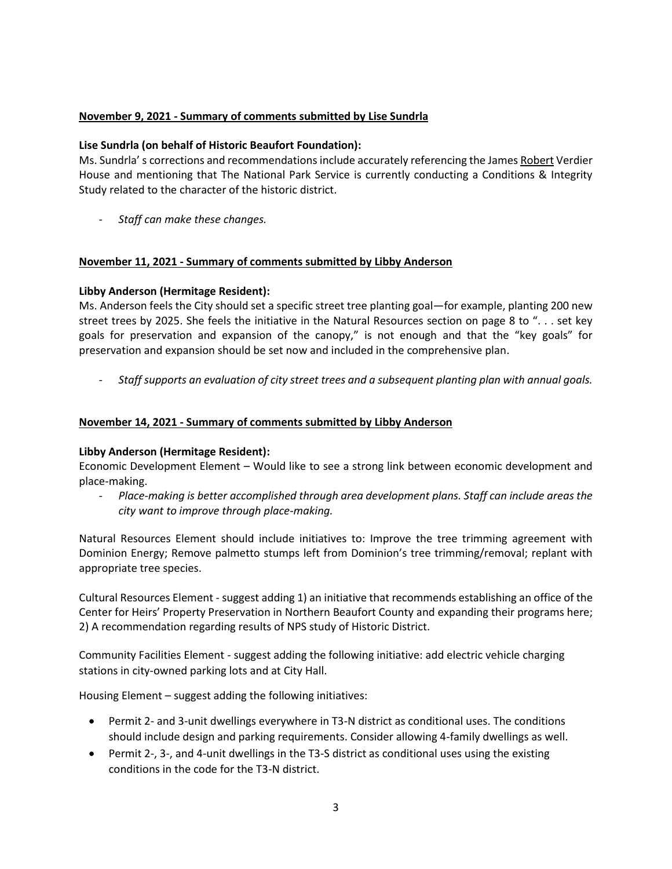### **November 9, 2021 - Summary of comments submitted by Lise Sundrla**

#### **Lise Sundrla (on behalf of Historic Beaufort Foundation):**

Ms. Sundrla' s corrections and recommendations include accurately referencing the James Robert Verdier House and mentioning that The National Park Service is currently conducting a Conditions & Integrity Study related to the character of the historic district.

*- Staff can make these changes.*

### **November 11, 2021 - Summary of comments submitted by Libby Anderson**

### **Libby Anderson (Hermitage Resident):**

Ms. Anderson feels the City should set a specific street tree planting goal—for example, planting 200 new street trees by 2025. She feels the initiative in the Natural Resources section on page 8 to ". . . set key goals for preservation and expansion of the canopy," is not enough and that the "key goals" for preservation and expansion should be set now and included in the comprehensive plan.

*- Staff supports an evaluation of city street trees and a subsequent planting plan with annual goals.*

### **November 14, 2021 - Summary of comments submitted by Libby Anderson**

### **Libby Anderson (Hermitage Resident):**

Economic Development Element – Would like to see a strong link between economic development and place-making.

*- Place-making is better accomplished through area development plans. Staff can include areas the city want to improve through place-making.* 

Natural Resources Element should include initiatives to: Improve the tree trimming agreement with Dominion Energy; Remove palmetto stumps left from Dominion's tree trimming/removal; replant with appropriate tree species.

Cultural Resources Element - suggest adding 1) an initiative that recommends establishing an office of the Center for Heirs' Property Preservation in Northern Beaufort County and expanding their programs here; 2) A recommendation regarding results of NPS study of Historic District.

Community Facilities Element - suggest adding the following initiative: add electric vehicle charging stations in city-owned parking lots and at City Hall.

Housing Element – suggest adding the following initiatives:

- Permit 2- and 3-unit dwellings everywhere in T3-N district as conditional uses. The conditions should include design and parking requirements. Consider allowing 4-family dwellings as well.
- Permit 2-, 3-, and 4-unit dwellings in the T3-S district as conditional uses using the existing conditions in the code for the T3-N district.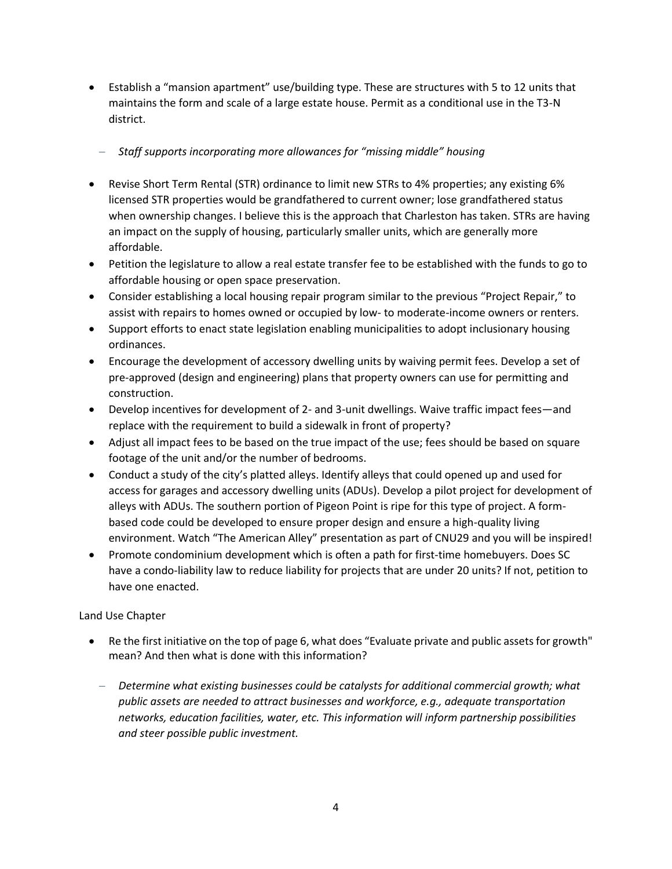• Establish a "mansion apartment" use/building type. These are structures with 5 to 12 units that maintains the form and scale of a large estate house. Permit as a conditional use in the T3-N district.

### − *Staff supports incorporating more allowances for "missing middle" housing*

- Revise Short Term Rental (STR) ordinance to limit new STRs to 4% properties; any existing 6% licensed STR properties would be grandfathered to current owner; lose grandfathered status when ownership changes. I believe this is the approach that Charleston has taken. STRs are having an impact on the supply of housing, particularly smaller units, which are generally more affordable.
- Petition the legislature to allow a real estate transfer fee to be established with the funds to go to affordable housing or open space preservation.
- Consider establishing a local housing repair program similar to the previous "Project Repair," to assist with repairs to homes owned or occupied by low- to moderate-income owners or renters.
- Support efforts to enact state legislation enabling municipalities to adopt inclusionary housing ordinances.
- Encourage the development of accessory dwelling units by waiving permit fees. Develop a set of pre-approved (design and engineering) plans that property owners can use for permitting and construction.
- Develop incentives for development of 2- and 3-unit dwellings. Waive traffic impact fees—and replace with the requirement to build a sidewalk in front of property?
- Adjust all impact fees to be based on the true impact of the use; fees should be based on square footage of the unit and/or the number of bedrooms.
- Conduct a study of the city's platted alleys. Identify alleys that could opened up and used for access for garages and accessory dwelling units (ADUs). Develop a pilot project for development of alleys with ADUs. The southern portion of Pigeon Point is ripe for this type of project. A formbased code could be developed to ensure proper design and ensure a high-quality living environment. Watch "The American Alley" presentation as part of CNU29 and you will be inspired!
- Promote condominium development which is often a path for first-time homebuyers. Does SC have a condo-liability law to reduce liability for projects that are under 20 units? If not, petition to have one enacted.

### Land Use Chapter

- Re the first initiative on the top of page 6, what does "Evaluate private and public assets for growth" mean? And then what is done with this information?
	- − *Determine what existing businesses could be catalysts for additional commercial growth; what public assets are needed to attract businesses and workforce, e.g., adequate transportation networks, education facilities, water, etc. This information will inform partnership possibilities and steer possible public investment.*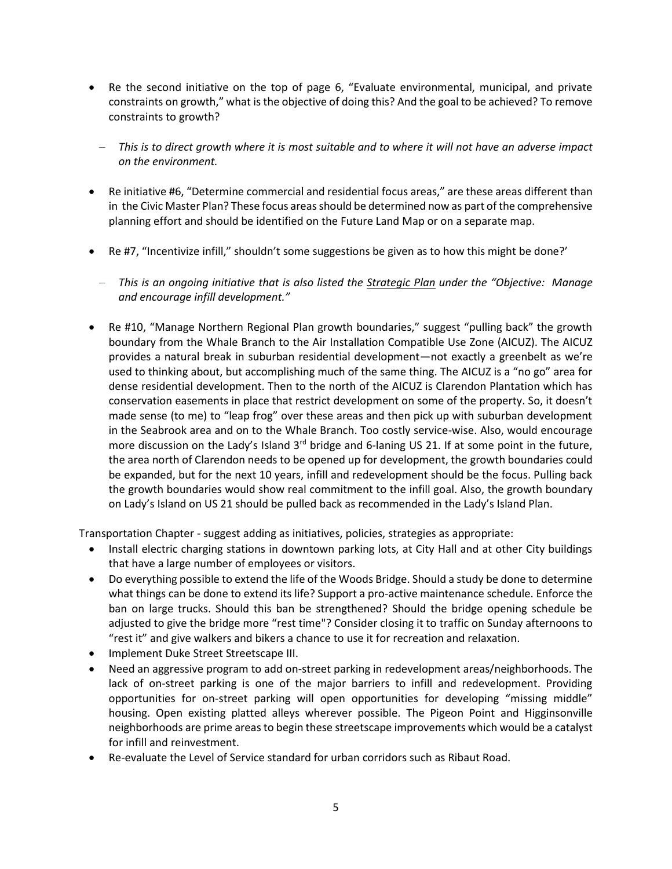- Re the second initiative on the top of page 6, "Evaluate environmental, municipal, and private constraints on growth," what is the objective of doing this? And the goal to be achieved? To remove constraints to growth?
	- − *This is to direct growth where it is most suitable and to where it will not have an adverse impact on the environment.*
- Re initiative #6, "Determine commercial and residential focus areas," are these areas different than in the Civic Master Plan? These focus areas should be determined now as part of the comprehensive planning effort and should be identified on the Future Land Map or on a separate map.
- Re #7, "Incentivize infill," shouldn't some suggestions be given as to how this might be done?'
	- − *This is an ongoing initiative that is also listed the Strategic Plan under the "Objective: Manage and encourage infill development."*
- Re #10, "Manage Northern Regional Plan growth boundaries," suggest "pulling back" the growth boundary from the Whale Branch to the Air Installation Compatible Use Zone (AICUZ). The AICUZ provides a natural break in suburban residential development—not exactly a greenbelt as we're used to thinking about, but accomplishing much of the same thing. The AICUZ is a "no go" area for dense residential development. Then to the north of the AICUZ is Clarendon Plantation which has conservation easements in place that restrict development on some of the property. So, it doesn't made sense (to me) to "leap frog" over these areas and then pick up with suburban development in the Seabrook area and on to the Whale Branch. Too costly service-wise. Also, would encourage more discussion on the Lady's Island 3<sup>rd</sup> bridge and 6-laning US 21. If at some point in the future, the area north of Clarendon needs to be opened up for development, the growth boundaries could be expanded, but for the next 10 years, infill and redevelopment should be the focus. Pulling back the growth boundaries would show real commitment to the infill goal. Also, the growth boundary on Lady's Island on US 21 should be pulled back as recommended in the Lady's Island Plan.

Transportation Chapter - suggest adding as initiatives, policies, strategies as appropriate:

- Install electric charging stations in downtown parking lots, at City Hall and at other City buildings that have a large number of employees or visitors.
- Do everything possible to extend the life of the Woods Bridge. Should a study be done to determine what things can be done to extend its life? Support a pro-active maintenance schedule. Enforce the ban on large trucks. Should this ban be strengthened? Should the bridge opening schedule be adjusted to give the bridge more "rest time"? Consider closing it to traffic on Sunday afternoons to "rest it" and give walkers and bikers a chance to use it for recreation and relaxation.
- Implement Duke Street Streetscape III.
- Need an aggressive program to add on-street parking in redevelopment areas/neighborhoods. The lack of on-street parking is one of the major barriers to infill and redevelopment. Providing opportunities for on-street parking will open opportunities for developing "missing middle" housing. Open existing platted alleys wherever possible. The Pigeon Point and Higginsonville neighborhoods are prime areas to begin these streetscape improvements which would be a catalyst for infill and reinvestment.
- Re-evaluate the Level of Service standard for urban corridors such as Ribaut Road.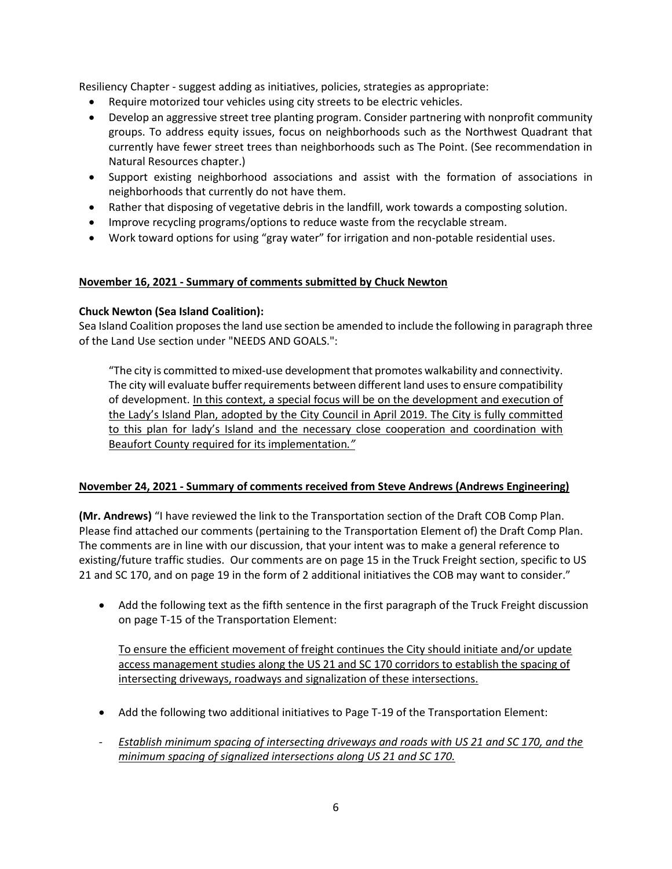Resiliency Chapter - suggest adding as initiatives, policies, strategies as appropriate:

- Require motorized tour vehicles using city streets to be electric vehicles.
- Develop an aggressive street tree planting program. Consider partnering with nonprofit community groups. To address equity issues, focus on neighborhoods such as the Northwest Quadrant that currently have fewer street trees than neighborhoods such as The Point. (See recommendation in Natural Resources chapter.)
- Support existing neighborhood associations and assist with the formation of associations in neighborhoods that currently do not have them.
- Rather that disposing of vegetative debris in the landfill, work towards a composting solution.
- Improve recycling programs/options to reduce waste from the recyclable stream.
- Work toward options for using "gray water" for irrigation and non-potable residential uses.

#### **November 16, 2021 - Summary of comments submitted by Chuck Newton**

### **Chuck Newton (Sea Island Coalition):**

Sea Island Coalition proposes the land use section be amended to include the following in paragraph three of the Land Use section under "NEEDS AND GOALS.":

"The city is committed to mixed-use development that promotes walkability and connectivity. The city will evaluate buffer requirements between different land uses to ensure compatibility of development. In this context, a special focus will be on the development and execution of the Lady's Island Plan, adopted by the City Council in April 2019. The City is fully committed to this plan for lady's Island and the necessary close cooperation and coordination with Beaufort County required for its implementation*."*

### **November 24, 2021 - Summary of comments received from Steve Andrews (Andrews Engineering)**

**(Mr. Andrews)** "I have reviewed the link to the Transportation section of the Draft COB Comp Plan. Please find attached our comments (pertaining to the Transportation Element of) the Draft Comp Plan. The comments are in line with our discussion, that your intent was to make a general reference to existing/future traffic studies. Our comments are on page 15 in the Truck Freight section, specific to US 21 and SC 170, and on page 19 in the form of 2 additional initiatives the COB may want to consider."

• Add the following text as the fifth sentence in the first paragraph of the Truck Freight discussion on page T-15 of the Transportation Element:

To ensure the efficient movement of freight continues the City should initiate and/or update access management studies along the US 21 and SC 170 corridors to establish the spacing of intersecting driveways, roadways and signalization of these intersections.

- Add the following two additional initiatives to Page T-19 of the Transportation Element:
- *- Establish minimum spacing of intersecting driveways and roads with US 21 and SC 170, and the minimum spacing of signalized intersections along US 21 and SC 170.*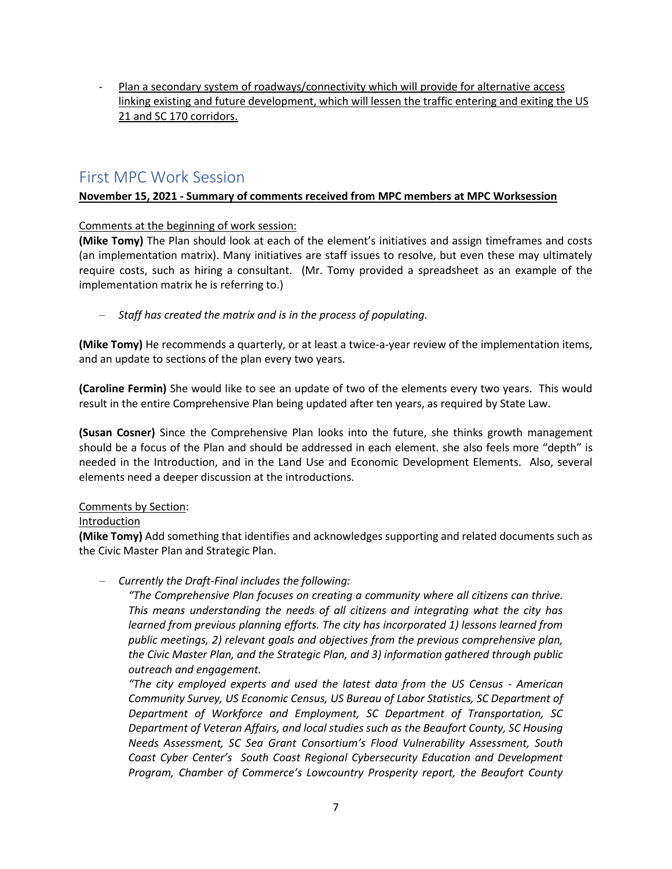*-* Plan a secondary system of roadways/connectivity which will provide for alternative access linking existing and future development, which will lessen the traffic entering and exiting the US 21 and SC 170 corridors.

## First MPC Work Session

### **November 15, 2021 - Summary of comments received from MPC members at MPC Worksession**

### Comments at the beginning of work session:

**(Mike Tomy)** The Plan should look at each of the element's initiatives and assign timeframes and costs (an implementation matrix). Many initiatives are staff issues to resolve, but even these may ultimately require costs, such as hiring a consultant. (Mr. Tomy provided a spreadsheet as an example of the implementation matrix he is referring to.)

− *Staff has created the matrix and is in the process of populating.*

**(Mike Tomy)** He recommends a quarterly, or at least a twice-a-year review of the implementation items, and an update to sections of the plan every two years.

**(Caroline Fermin)** She would like to see an update of two of the elements every two years. This would result in the entire Comprehensive Plan being updated after ten years, as required by State Law.

**(Susan Cosner)** Since the Comprehensive Plan looks into the future, she thinks growth management should be a focus of the Plan and should be addressed in each element. she also feels more "depth" is needed in the Introduction, and in the Land Use and Economic Development Elements. Also, several elements need a deeper discussion at the introductions.

### Comments by Section:

### Introduction

**(Mike Tomy)** Add something that identifies and acknowledges supporting and related documents such as the Civic Master Plan and Strategic Plan.

### − *Currently the Draft-Final includes the following:*

*"The Comprehensive Plan focuses on creating a community where all citizens can thrive. This means understanding the needs of all citizens and integrating what the city has learned from previous planning efforts. The city has incorporated 1) lessons learned from public meetings, 2) relevant goals and objectives from the previous comprehensive plan, the Civic Master Plan, and the Strategic Plan, and 3) information gathered through public outreach and engagement.*

*"The city employed experts and used the latest data from the US Census - American Community Survey, US Economic Census, US Bureau of Labor Statistics, SC Department of Department of Workforce and Employment, SC Department of Transportation, SC Department of Veteran Affairs, and local studies such as the Beaufort County, SC Housing Needs Assessment, SC Sea Grant Consortium's Flood Vulnerability Assessment, South Coast Cyber Center's South Coast Regional Cybersecurity Education and Development Program, Chamber of Commerce's Lowcountry Prosperity report, the Beaufort County*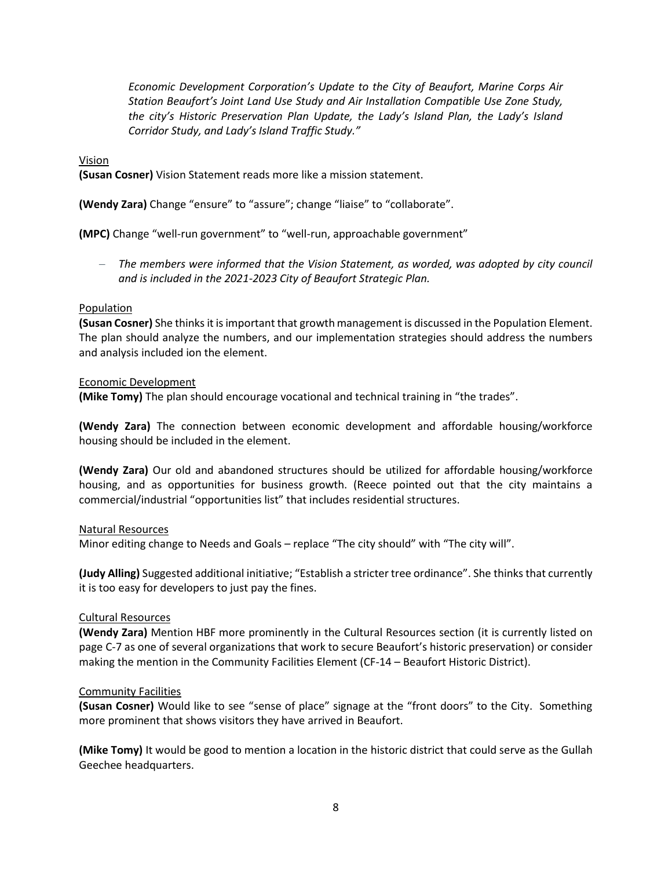*Economic Development Corporation's Update to the City of Beaufort, Marine Corps Air Station Beaufort's Joint Land Use Study and Air Installation Compatible Use Zone Study, the city's Historic Preservation Plan Update, the Lady's Island Plan, the Lady's Island Corridor Study, and Lady's Island Traffic Study."*

Vision

**(Susan Cosner)** Vision Statement reads more like a mission statement.

**(Wendy Zara)** Change "ensure" to "assure"; change "liaise" to "collaborate".

**(MPC)** Change "well-run government" to "well-run, approachable government"

− *The members were informed that the Vision Statement, as worded, was adopted by city council and is included in the 2021-2023 City of Beaufort Strategic Plan.*

#### Population

**(Susan Cosner)** She thinks it isimportant that growth management is discussed in the Population Element. The plan should analyze the numbers, and our implementation strategies should address the numbers and analysis included ion the element.

#### Economic Development

**(Mike Tomy)** The plan should encourage vocational and technical training in "the trades".

**(Wendy Zara)** The connection between economic development and affordable housing/workforce housing should be included in the element.

**(Wendy Zara)** Our old and abandoned structures should be utilized for affordable housing/workforce housing, and as opportunities for business growth. (Reece pointed out that the city maintains a commercial/industrial "opportunities list" that includes residential structures.

#### Natural Resources

Minor editing change to Needs and Goals – replace "The city should" with "The city will".

**(Judy Alling)** Suggested additional initiative; "Establish a stricter tree ordinance". She thinks that currently it is too easy for developers to just pay the fines.

#### Cultural Resources

**(Wendy Zara)** Mention HBF more prominently in the Cultural Resources section (it is currently listed on page C-7 as one of several organizations that work to secure Beaufort's historic preservation) or consider making the mention in the Community Facilities Element (CF-14 – Beaufort Historic District).

#### Community Facilities

**(Susan Cosner)** Would like to see "sense of place" signage at the "front doors" to the City. Something more prominent that shows visitors they have arrived in Beaufort.

**(Mike Tomy)** It would be good to mention a location in the historic district that could serve as the Gullah Geechee headquarters.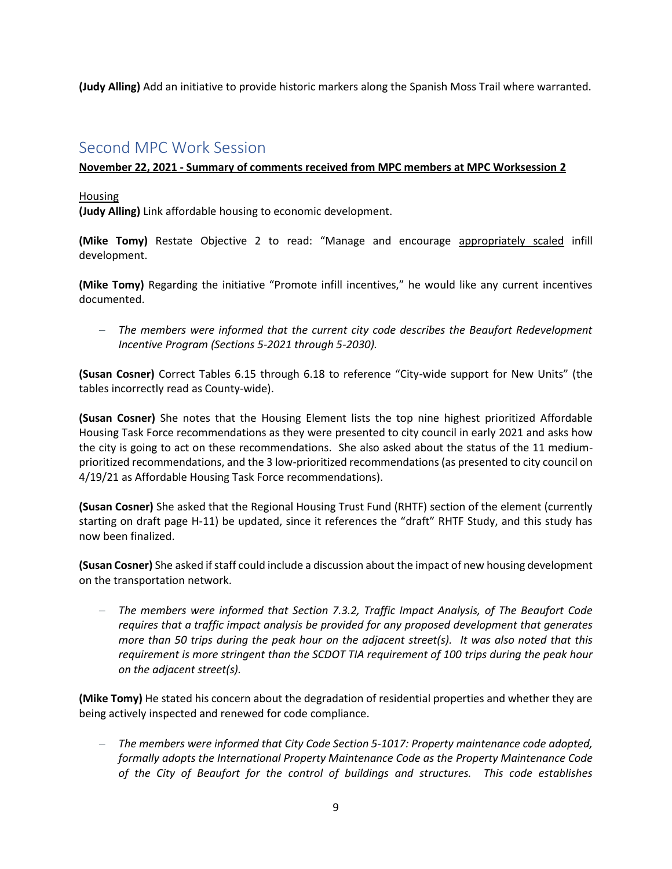**(Judy Alling)** Add an initiative to provide historic markers along the Spanish Moss Trail where warranted.

## Second MPC Work Session

### **November 22, 2021 - Summary of comments received from MPC members at MPC Worksession 2**

#### Housing

**(Judy Alling)** Link affordable housing to economic development.

**(Mike Tomy)** Restate Objective 2 to read: "Manage and encourage appropriately scaled infill development.

**(Mike Tomy)** Regarding the initiative "Promote infill incentives," he would like any current incentives documented.

− *The members were informed that the current city code describes the Beaufort Redevelopment Incentive Program (Sections 5-2021 through 5-2030).*

**(Susan Cosner)** Correct Tables 6.15 through 6.18 to reference "City-wide support for New Units" (the tables incorrectly read as County-wide).

**(Susan Cosner)** She notes that the Housing Element lists the top nine highest prioritized Affordable Housing Task Force recommendations as they were presented to city council in early 2021 and asks how the city is going to act on these recommendations. She also asked about the status of the 11 mediumprioritized recommendations, and the 3 low-prioritized recommendations (as presented to city council on 4/19/21 as Affordable Housing Task Force recommendations).

**(Susan Cosner)** She asked that the Regional Housing Trust Fund (RHTF) section of the element (currently starting on draft page H-11) be updated, since it references the "draft" RHTF Study, and this study has now been finalized.

**(Susan Cosner)** She asked if staff could include a discussion about the impact of new housing development on the transportation network.

− *The members were informed that Section 7.3.2, Traffic Impact Analysis, of The Beaufort Code requires that a traffic impact analysis be provided for any proposed development that generates more than 50 trips during the peak hour on the adjacent street(s). It was also noted that this requirement is more stringent than the SCDOT TIA requirement of 100 trips during the peak hour on the adjacent street(s).*

**(Mike Tomy)** He stated his concern about the degradation of residential properties and whether they are being actively inspected and renewed for code compliance.

− *The members were informed that City Code Section 5-1017: Property maintenance code adopted, formally adopts the International Property Maintenance Code as the Property Maintenance Code of the City of Beaufort for the control of buildings and structures. This code establishes*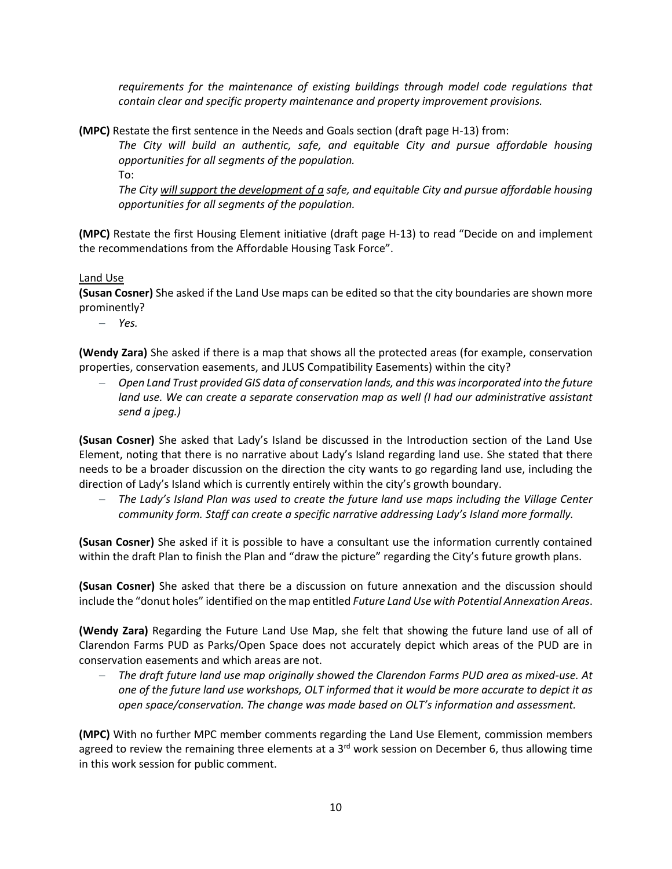*requirements for the maintenance of existing buildings through model code regulations that contain clear and specific property maintenance and property improvement provisions.* 

**(MPC)** Restate the first sentence in the Needs and Goals section (draft page H-13) from:

*The City will build an authentic, safe, and equitable City and pursue affordable housing opportunities for all segments of the population.*

To:

*The City will support the development of a safe, and equitable City and pursue affordable housing opportunities for all segments of the population.*

**(MPC)** Restate the first Housing Element initiative (draft page H-13) to read "Decide on and implement the recommendations from the Affordable Housing Task Force".

Land Use

**(Susan Cosner)** She asked if the Land Use maps can be edited so that the city boundaries are shown more prominently?

− *Yes.*

**(Wendy Zara)** She asked if there is a map that shows all the protected areas (for example, conservation properties, conservation easements, and JLUS Compatibility Easements) within the city?

− *Open Land Trust provided GIS data of conservation lands, and this was incorporated into the future land use. We can create a separate conservation map as well (I had our administrative assistant send a jpeg.)*

**(Susan Cosner)** She asked that Lady's Island be discussed in the Introduction section of the Land Use Element, noting that there is no narrative about Lady's Island regarding land use. She stated that there needs to be a broader discussion on the direction the city wants to go regarding land use, including the direction of Lady's Island which is currently entirely within the city's growth boundary.

− *The Lady's Island Plan was used to create the future land use maps including the Village Center community form. Staff can create a specific narrative addressing Lady's Island more formally.*

**(Susan Cosner)** She asked if it is possible to have a consultant use the information currently contained within the draft Plan to finish the Plan and "draw the picture" regarding the City's future growth plans.

**(Susan Cosner)** She asked that there be a discussion on future annexation and the discussion should include the "donut holes" identified on the map entitled *Future Land Use with Potential Annexation Areas*.

**(Wendy Zara)** Regarding the Future Land Use Map, she felt that showing the future land use of all of Clarendon Farms PUD as Parks/Open Space does not accurately depict which areas of the PUD are in conservation easements and which areas are not.

− *The draft future land use map originally showed the Clarendon Farms PUD area as mixed-use. At one of the future land use workshops, OLT informed that it would be more accurate to depict it as open space/conservation. The change was made based on OLT's information and assessment.*

**(MPC)** With no further MPC member comments regarding the Land Use Element, commission members agreed to review the remaining three elements at a 3<sup>rd</sup> work session on December 6, thus allowing time in this work session for public comment.